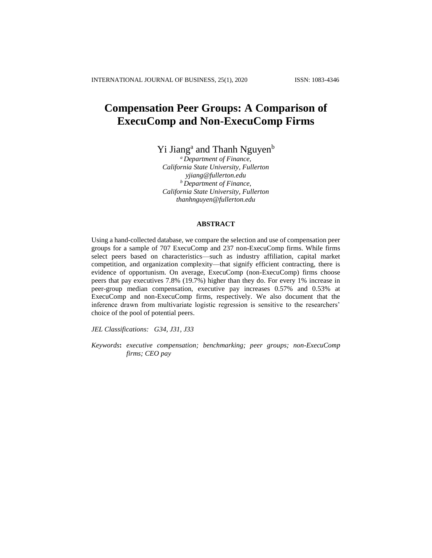# **Compensation Peer Groups: A Comparison of ExecuComp and Non-ExecuComp Firms**

Yi Jiang<sup>a</sup> and Thanh Nguyen<sup>b</sup>

*<sup>a</sup> Department of Finance, California State University, Fullerton yjiang@fullerton.edu <sup>b</sup> Department of Finance, California State University, Fullerton thanhnguyen@fullerton.edu*

### **ABSTRACT**

Using a hand-collected database, we compare the selection and use of compensation peer groups for a sample of 707 ExecuComp and 237 non-ExecuComp firms. While firms select peers based on characteristics—such as industry affiliation, capital market competition, and organization complexity—that signify efficient contracting, there is evidence of opportunism. On average, ExecuComp (non-ExecuComp) firms choose peers that pay executives 7.8% (19.7%) higher than they do. For every 1% increase in peer-group median compensation, executive pay increases 0.57% and 0.53% at ExecuComp and non-ExecuComp firms, respectively. We also document that the inference drawn from multivariate logistic regression is sensitive to the researchers' choice of the pool of potential peers.

*JEL Classifications: G34, J31, J33*

*Keywords***:** *executive compensation; benchmarking; peer groups; non-ExecuComp firms; CEO pay*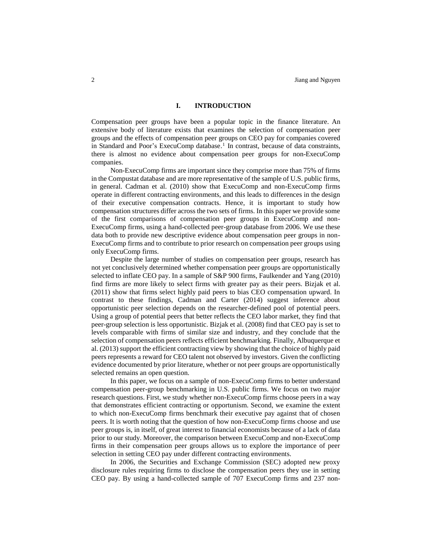#### **I. INTRODUCTION**

Compensation peer groups have been a popular topic in the finance literature. An extensive body of literature exists that examines the selection of compensation peer groups and the effects of compensation peer groups on CEO pay for companies covered in Standard and Poor's ExecuComp database.<sup>1</sup> In contrast, because of data constraints, there is almost no evidence about compensation peer groups for non-ExecuComp companies.

Non-ExecuComp firms are important since they comprise more than 75% of firms in the Compustat database and are more representative of the sample of U.S. public firms, in general. Cadman et al. (2010) show that ExecuComp and non-ExecuComp firms operate in different contracting environments, and this leads to differences in the design of their executive compensation contracts. Hence, it is important to study how compensation structures differ across the two sets of firms. In this paper we provide some of the first comparisons of compensation peer groups in ExecuComp and non-ExecuComp firms, using a hand-collected peer-group database from 2006. We use these data both to provide new descriptive evidence about compensation peer groups in non-ExecuComp firms and to contribute to prior research on compensation peer groups using only ExecuComp firms.

Despite the large number of studies on compensation peer groups, research has not yet conclusively determined whether compensation peer groups are opportunistically selected to inflate CEO pay. In a sample of S&P 900 firms, Faulkender and Yang (2010) find firms are more likely to select firms with greater pay as their peers. Bizjak et al. (2011) show that firms select highly paid peers to bias CEO compensation upward. In contrast to these findings, Cadman and Carter (2014) suggest inference about opportunistic peer selection depends on the researcher-defined pool of potential peers. Using a group of potential peers that better reflects the CEO labor market, they find that peer-group selection is less opportunistic. Bizjak et al. (2008) find that CEO pay is set to levels comparable with firms of similar size and industry, and they conclude that the selection of compensation peers reflects efficient benchmarking. Finally, Albuquerque et al. (2013) support the efficient contracting view by showing that the choice of highly paid peers represents a reward for CEO talent not observed by investors. Given the conflicting evidence documented by prior literature, whether or not peer groups are opportunistically selected remains an open question.

In this paper, we focus on a sample of non-ExecuComp firms to better understand compensation peer-group benchmarking in U.S. public firms. We focus on two major research questions. First, we study whether non-ExecuComp firms choose peers in a way that demonstrates efficient contracting or opportunism. Second, we examine the extent to which non-ExecuComp firms benchmark their executive pay against that of chosen peers. It is worth noting that the question of how non-ExecuComp firms choose and use peer groups is, in itself, of great interest to financial economists because of a lack of data prior to our study. Moreover, the comparison between ExecuComp and non-ExecuComp firms in their compensation peer groups allows us to explore the importance of peer selection in setting CEO pay under different contracting environments.

In 2006, the Securities and Exchange Commission (SEC) adopted new proxy disclosure rules requiring firms to disclose the compensation peers they use in setting CEO pay. By using a hand-collected sample of 707 ExecuComp firms and 237 non-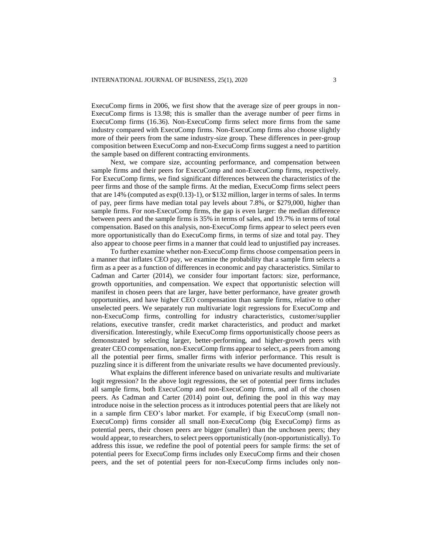ExecuComp firms in 2006, we first show that the average size of peer groups in non-ExecuComp firms is 13.98; this is smaller than the average number of peer firms in ExecuComp firms (16.36). Non-ExecuComp firms select more firms from the same industry compared with ExecuComp firms. Non-ExecuComp firms also choose slightly more of their peers from the same industry-size group. These differences in peer-group composition between ExecuComp and non-ExecuComp firms suggest a need to partition the sample based on different contracting environments.

Next, we compare size, accounting performance, and compensation between sample firms and their peers for ExecuComp and non-ExecuComp firms, respectively. For ExecuComp firms, we find significant differences between the characteristics of the peer firms and those of the sample firms. At the median, ExecuComp firms select peers that are  $14\%$  (computed as  $\exp(0.13)$ -1), or \$132 million, larger in terms of sales. In terms of pay, peer firms have median total pay levels about 7.8%, or \$279,000, higher than sample firms. For non-ExecuComp firms, the gap is even larger: the median difference between peers and the sample firms is 35% in terms of sales, and 19.7% in terms of total compensation. Based on this analysis, non-ExecuComp firms appear to select peers even more opportunistically than do ExecuComp firms, in terms of size and total pay. They also appear to choose peer firms in a manner that could lead to unjustified pay increases.

To further examine whether non-ExecuComp firms choose compensation peers in a manner that inflates CEO pay, we examine the probability that a sample firm selects a firm as a peer as a function of differences in economic and pay characteristics. Similar to Cadman and Carter (2014), we consider four important factors: size, performance, growth opportunities, and compensation. We expect that opportunistic selection will manifest in chosen peers that are larger, have better performance, have greater growth opportunities, and have higher CEO compensation than sample firms, relative to other unselected peers. We separately run multivariate logit regressions for ExecuComp and non-ExecuComp firms, controlling for industry characteristics, customer/supplier relations, executive transfer, credit market characteristics, and product and market diversification. Interestingly, while ExecuComp firms opportunistically choose peers as demonstrated by selecting larger, better-performing, and higher-growth peers with greater CEO compensation, non-ExecuComp firms appear to select, as peers from among all the potential peer firms, smaller firms with inferior performance. This result is puzzling since it is different from the univariate results we have documented previously.

What explains the different inference based on univariate results and multivariate logit regression? In the above logit regressions, the set of potential peer firms includes all sample firms, both ExecuComp and non-ExecuComp firms, and all of the chosen peers. As Cadman and Carter (2014) point out, defining the pool in this way may introduce noise in the selection process as it introduces potential peers that are likely not in a sample firm CEO's labor market. For example, if big ExecuComp (small non-ExecuComp) firms consider all small non-ExecuComp (big ExecuComp) firms as potential peers, their chosen peers are bigger (smaller) than the unchosen peers; they would appear, to researchers, to select peers opportunistically (non-opportunistically). To address this issue, we redefine the pool of potential peers for sample firms: the set of potential peers for ExecuComp firms includes only ExecuComp firms and their chosen peers, and the set of potential peers for non-ExecuComp firms includes only non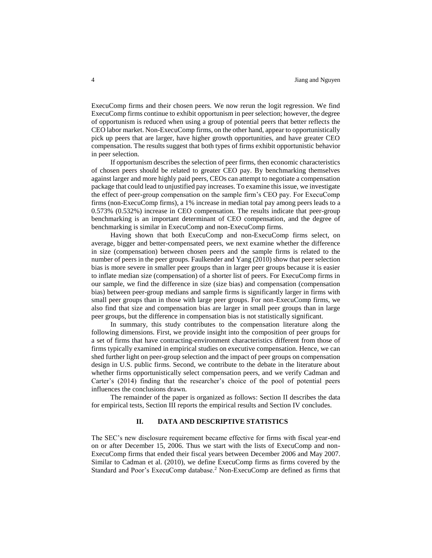ExecuComp firms and their chosen peers. We now rerun the logit regression. We find ExecuComp firms continue to exhibit opportunism in peer selection; however, the degree of opportunism is reduced when using a group of potential peers that better reflects the CEO labor market. Non-ExecuComp firms, on the other hand, appear to opportunistically pick up peers that are larger, have higher growth opportunities, and have greater CEO compensation. The results suggest that both types of firms exhibit opportunistic behavior in peer selection.

If opportunism describes the selection of peer firms, then economic characteristics of chosen peers should be related to greater CEO pay. By benchmarking themselves against larger and more highly paid peers, CEOs can attempt to negotiate a compensation package that could lead to unjustified pay increases. To examine this issue, we investigate the effect of peer-group compensation on the sample firm's CEO pay. For ExecuComp firms (non-ExecuComp firms), a 1% increase in median total pay among peers leads to a 0.573% (0.532%) increase in CEO compensation. The results indicate that peer-group benchmarking is an important determinant of CEO compensation, and the degree of benchmarking is similar in ExecuComp and non-ExecuComp firms.

Having shown that both ExecuComp and non-ExecuComp firms select, on average, bigger and better-compensated peers, we next examine whether the difference in size (compensation) between chosen peers and the sample firms is related to the number of peers in the peer groups. Faulkender and Yang (2010) show that peer selection bias is more severe in smaller peer groups than in larger peer groups because it is easier to inflate median size (compensation) of a shorter list of peers. For ExecuComp firms in our sample, we find the difference in size (size bias) and compensation (compensation bias) between peer-group medians and sample firms is significantly larger in firms with small peer groups than in those with large peer groups. For non-ExecuComp firms, we also find that size and compensation bias are larger in small peer groups than in large peer groups, but the difference in compensation bias is not statistically significant.

In summary, this study contributes to the compensation literature along the following dimensions. First, we provide insight into the composition of peer groups for a set of firms that have contracting-environment characteristics different from those of firms typically examined in empirical studies on executive compensation. Hence, we can shed further light on peer-group selection and the impact of peer groups on compensation design in U.S. public firms. Second, we contribute to the debate in the literature about whether firms opportunistically select compensation peers, and we verify Cadman and Carter's (2014) finding that the researcher's choice of the pool of potential peers influences the conclusions drawn.

The remainder of the paper is organized as follows: Section II describes the data for empirical tests, Section III reports the empirical results and Section IV concludes.

#### **II. DATA AND DESCRIPTIVE STATISTICS**

The SEC's new disclosure requirement became effective for firms with fiscal year-end on or after December 15, 2006. Thus we start with the lists of ExecuComp and non-ExecuComp firms that ended their fiscal years between December 2006 and May 2007. Similar to Cadman et al. (2010), we define ExecuComp firms as firms covered by the Standard and Poor's ExecuComp database.<sup>2</sup> Non-ExecuComp are defined as firms that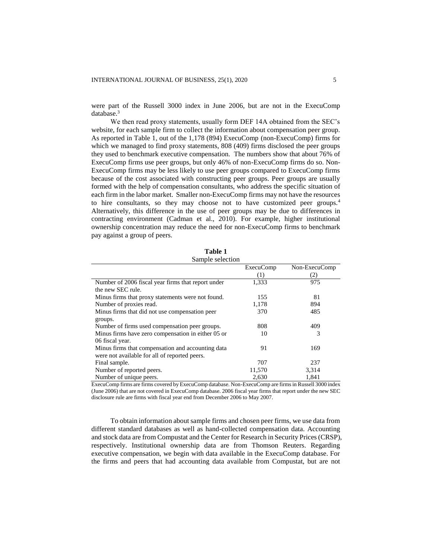were part of the Russell 3000 index in June 2006, but are not in the ExecuComp database.<sup>3</sup>

We then read proxy statements, usually form DEF 14A obtained from the SEC's website, for each sample firm to collect the information about compensation peer group. As reported in Table 1, out of the 1,178 (894) ExecuComp (non-ExecuComp) firms for which we managed to find proxy statements, 808 (409) firms disclosed the peer groups they used to benchmark executive compensation. The numbers show that about 76% of ExecuComp firms use peer groups, but only 46% of non-ExecuComp firms do so. Non-ExecuComp firms may be less likely to use peer groups compared to ExecuComp firms because of the cost associated with constructing peer groups. Peer groups are usually formed with the help of compensation consultants, who address the specific situation of each firm in the labor market. Smaller non-ExecuComp firms may not have the resources to hire consultants, so they may choose not to have customized peer groups.<sup>4</sup> Alternatively, this difference in the use of peer groups may be due to differences in contracting environment (Cadman et al., 2010). For example, higher institutional ownership concentration may reduce the need for non-ExecuComp firms to benchmark pay against a group of peers.

|                  | Table 1 |  |
|------------------|---------|--|
| Sample selection |         |  |

|                                                    | <b>ExecuComp</b> | Non-ExecuComp |
|----------------------------------------------------|------------------|---------------|
|                                                    | (1)              | (2)           |
| Number of 2006 fiscal year firms that report under | 1,333            | 975           |
| the new SEC rule.                                  |                  |               |
| Minus firms that proxy statements were not found.  | 155              | 81            |
| Number of proxies read.                            | 1,178            | 894           |
| Minus firms that did not use compensation peer     | 370              | 485           |
| groups.                                            |                  |               |
| Number of firms used compensation peer groups.     | 808              | 409           |
| Minus firms have zero compensation in either 05 or | 10               | 3             |
| 06 fiscal year.                                    |                  |               |
| Minus firms that compensation and accounting data  | 91               | 169           |
| were not available for all of reported peers.      |                  |               |
| Final sample.                                      | 707              | 237           |
| Number of reported peers.                          | 11,570           | 3,314         |
| Number of unique peers.                            | 2,630            | 1,841         |

ExecuComp firms are firms covered by ExecuComp database. Non-ExecuComp are firms in Russell 3000 index (June 2006) that are not covered in ExecuComp database. 2006 fiscal year firms that report under the new SEC disclosure rule are firms with fiscal year end from December 2006 to May 2007.

To obtain information about sample firms and chosen peer firms, we use data from different standard databases as well as hand-collected compensation data. Accounting and stock data are from Compustat and the Center for Research in Security Prices (CRSP), respectively. Institutional ownership data are from Thomson Reuters. Regarding executive compensation, we begin with data available in the ExecuComp database. For the firms and peers that had accounting data available from Compustat, but are not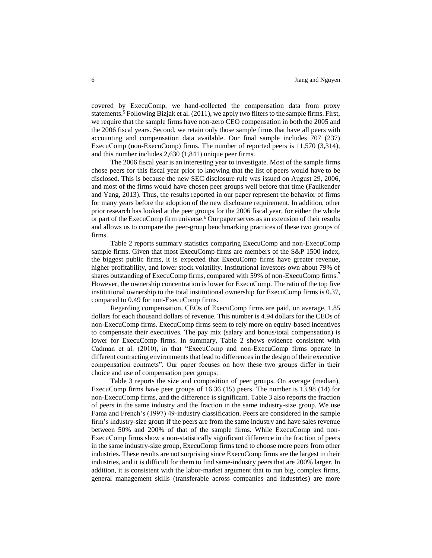covered by ExecuComp, we hand-collected the compensation data from proxy statements.<sup>5</sup> Following Bizjak et al. (2011), we apply two filters to the sample firms. First, we require that the sample firms have non-zero CEO compensation in both the 2005 and the 2006 fiscal years. Second, we retain only those sample firms that have all peers with accounting and compensation data available. Our final sample includes 707 (237) ExecuComp (non-ExecuComp) firms. The number of reported peers is 11,570 (3,314), and this number includes 2,630 (1,841) unique peer firms.

The 2006 fiscal year is an interesting year to investigate. Most of the sample firms chose peers for this fiscal year prior to knowing that the list of peers would have to be disclosed. This is because the new SEC disclosure rule was issued on August 29, 2006, and most of the firms would have chosen peer groups well before that time (Faulkender and Yang, 2013). Thus, the results reported in our paper represent the behavior of firms for many years before the adoption of the new disclosure requirement. In addition, other prior research has looked at the peer groups for the 2006 fiscal year, for either the whole or part of the ExecuComp firm universe.<sup>6</sup> Our paper serves as an extension of their results and allows us to compare the peer-group benchmarking practices of these two groups of firms.

Table 2 reports summary statistics comparing ExecuComp and non-ExecuComp sample firms. Given that most ExecuComp firms are members of the S&P 1500 index, the biggest public firms, it is expected that ExecuComp firms have greater revenue, higher profitability, and lower stock volatility. Institutional investors own about 79% of shares outstanding of ExecuComp firms, compared with 59% of non-ExecuComp firms.<sup>7</sup> However, the ownership concentration is lower for ExecuComp. The ratio of the top five institutional ownership to the total institutional ownership for ExecuComp firms is 0.37, compared to 0.49 for non-ExecuComp firms.

Regarding compensation, CEOs of ExecuComp firms are paid, on average, 1.85 dollars for each thousand dollars of revenue. This number is 4.94 dollars for the CEOs of non-ExecuComp firms. ExecuComp firms seem to rely more on equity-based incentives to compensate their executives. The pay mix (salary and bonus/total compensation) is lower for ExecuComp firms. In summary, Table 2 shows evidence consistent with Cadman et al. (2010), in that "ExecuComp and non-ExecuComp firms operate in different contracting environments that lead to differences in the design of their executive compensation contracts". Our paper focuses on how these two groups differ in their choice and use of compensation peer groups.

Table 3 reports the size and composition of peer groups. On average (median), ExecuComp firms have peer groups of 16.36 (15) peers. The number is 13.98 (14) for non-ExecuComp firms, and the difference is significant. Table 3 also reports the fraction of peers in the same industry and the fraction in the same industry-size group. We use Fama and French's (1997) 49-industry classification. Peers are considered in the sample firm's industry-size group if the peers are from the same industry and have sales revenue between 50% and 200% of that of the sample firms. While ExecuComp and non-ExecuComp firms show a non-statistically significant difference in the fraction of peers in the same industry-size group, ExecuComp firms tend to choose more peers from other industries. These results are not surprising since ExecuComp firms are the largest in their industries, and it is difficult for them to find same-industry peers that are 200% larger. In addition, it is consistent with the labor-market argument that to run big, complex firms, general management skills (transferable across companies and industries) are more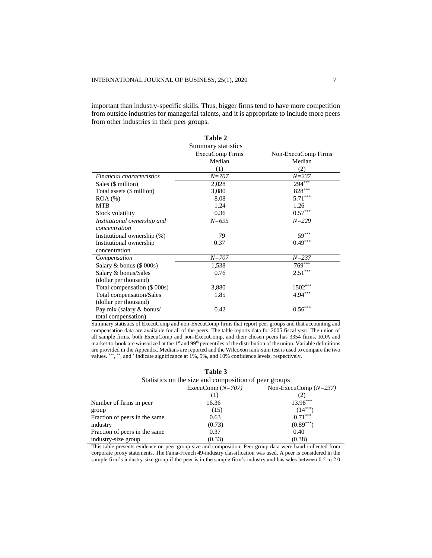important than industry-specific skills. Thus, bigger firms tend to have more competition from outside industries for managerial talents, and it is appropriate to include more peers from other industries in their peer groups.

|                              | Table 2            |                       |
|------------------------------|--------------------|-----------------------|
|                              | Summary statistics |                       |
|                              | ExecuComp Firms    | Non-ExecuComp Firms   |
|                              | Median             | Median                |
|                              | (1)                | (2)                   |
| Financial characteristics    | $N = 707$          | $N = 237$             |
| Sales (\$ million)           | 2,028              | $294***$              |
| Total assets (\$ million)    | 3,080              | $828***$              |
| $ROA (\%)$                   | 8.08               | $5.71***$             |
| <b>MTB</b>                   | 1.24               | 1.26                  |
| Stock volatility             | 0.36               | $0.57^{\ast\ast\ast}$ |
| Institutional ownership and  | $N = 695$          | $N = 229$             |
| concentration                |                    |                       |
| Institutional ownership (%)  | 79                 | $59***$               |
| Institutional ownership      | 0.37               | $0.49***$             |
| concentration                |                    |                       |
| Compensation                 | $N = 707$          | $N = 237$             |
| Salary & bonus $(\$000s)$    | 1,538              | $769***$              |
| Salary & bonus/Sales         | 0.76               | $2.51***$             |
| (dollar per thousand)        |                    |                       |
| Total compensation (\$ 000s) | 3,880              | $1502***$             |
| Total compensation/Sales     | 1.85               | $4.94***$             |
| (dollar per thousand)        |                    |                       |
| Pay mix (salary & bonus/     | 0.42               | $0.56^{\ast\ast\ast}$ |
| total compensation)          |                    |                       |

Summary statistics of ExecuComp and non-ExecuComp firms that report peer groups and that accounting and compensation data are available for all of the peers. The table reports data for 2005 fiscal year. The union of all sample firms, both ExecuComp and non-ExecuComp, and their chosen peers has 3354 firms. ROA and market-to-book are winsorized at the 1<sup>st</sup> and 99<sup>th</sup> percentiles of the distribution of the union. Variable definitions are provided in the Appendix. Medians are reported and the Wilcoxon rank-sum test is used to compare the two values. \*\*\*, \*\*, and \* indicate significance at 1%, 5%, and 10% confidence levels, respectively.

| Statistics on the size and composition of peer groups |                     |                         |  |  |
|-------------------------------------------------------|---------------------|-------------------------|--|--|
|                                                       | ExecuComp $(N=707)$ | Non-ExecuComp $(N=237)$ |  |  |
|                                                       |                     |                         |  |  |
| Number of firms in peer                               | 16.36               | 13.98***                |  |  |
| group                                                 | (15)                | $(14***$                |  |  |
| Fraction of peers in the same                         | 0.63                | $0.71***$               |  |  |
| industry                                              | (0.73)              | $(0.89***)$             |  |  |
| Fraction of peers in the same                         | 0.37                | 0.40                    |  |  |
| industry-size group                                   | (0.33)              | (0.38)                  |  |  |

**Table 3**

This table presents evidence on peer group size and composition. Peer group data were hand-collected from corporate proxy statements. The Fama-French 49-industry classification was used. A peer is considered in the sample firm's industry-size group if the peer is in the sample firm's industry and has sales between 0.5 to 2.0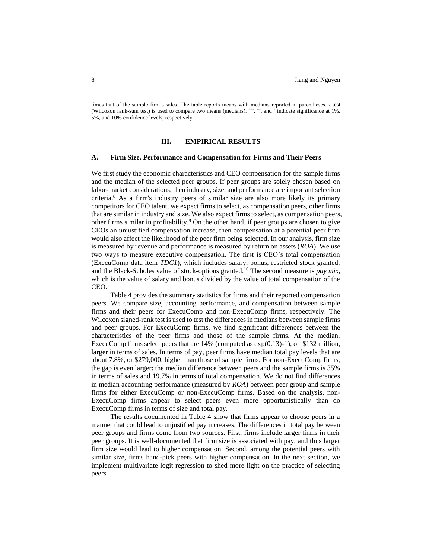times that of the sample firm's sales. The table reports means with medians reported in parentheses. *t*-test (Wilcoxon rank-sum test) is used to compare two means (medians). \*\*\*, \*\*, and \* indicate significance at 1%, 5%, and 10% confidence levels, respectively.

#### **III. EMPIRICAL RESULTS**

#### **A. Firm Size, Performance and Compensation for Firms and Their Peers**

We first study the economic characteristics and CEO compensation for the sample firms and the median of the selected peer groups. If peer groups are solely chosen based on labor-market considerations, then industry, size, and performance are important selection criteria.<sup>8</sup> As a firm's industry peers of similar size are also more likely its primary competitors for CEO talent, we expect firms to select, as compensation peers, other firms that are similar in industry and size. We also expect firms to select, as compensation peers, other firms similar in profitability.<sup>9</sup> On the other hand, if peer groups are chosen to give CEOs an unjustified compensation increase, then compensation at a potential peer firm would also affect the likelihood of the peer firm being selected. In our analysis, firm size is measured by revenue and performance is measured by return on assets (*ROA*). We use two ways to measure executive compensation. The first is CEO's total compensation (ExecuComp data item *TDC1*), which includes salary, bonus, restricted stock granted, and the Black-Scholes value of stock-options granted.<sup>10</sup> The second measure is *pay mix*, which is the value of salary and bonus divided by the value of total compensation of the CEO.

Table 4 provides the summary statistics for firms and their reported compensation peers. We compare size, accounting performance, and compensation between sample firms and their peers for ExecuComp and non-ExecuComp firms, respectively. The Wilcoxon signed-rank test is used to test the differences in medians between sample firms and peer groups. For ExecuComp firms, we find significant differences between the characteristics of the peer firms and those of the sample firms. At the median, ExecuComp firms select peers that are  $14\%$  (computed as  $\exp(0.13)$ -1), or \$132 million, larger in terms of sales. In terms of pay, peer firms have median total pay levels that are about 7.8%, or \$279,000, higher than those of sample firms. For non-ExecuComp firms, the gap is even larger: the median difference between peers and the sample firms is 35% in terms of sales and 19.7% in terms of total compensation. We do not find differences in median accounting performance (measured by *ROA*) between peer group and sample firms for either ExecuComp or non-ExecuComp firms. Based on the analysis, non-ExecuComp firms appear to select peers even more opportunistically than do ExecuComp firms in terms of size and total pay.

The results documented in Table 4 show that firms appear to choose peers in a manner that could lead to unjustified pay increases. The differences in total pay between peer groups and firms come from two sources. First, firms include larger firms in their peer groups. It is well-documented that firm size is associated with pay, and thus larger firm size would lead to higher compensation. Second, among the potential peers with similar size, firms hand-pick peers with higher compensation. In the next section, we implement multivariate logit regression to shed more light on the practice of selecting peers.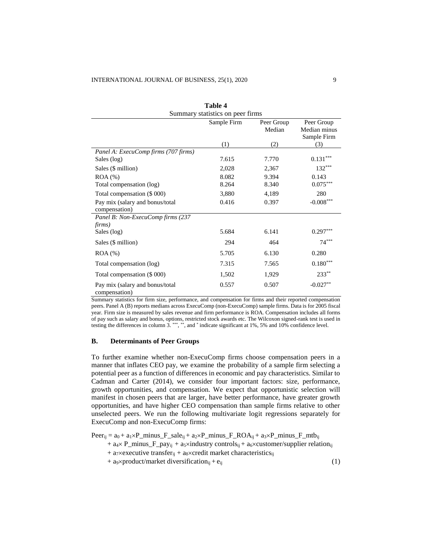| <b>Table 4</b>                                   |             |                      |                                           |  |  |
|--------------------------------------------------|-------------|----------------------|-------------------------------------------|--|--|
| Summary statistics on peer firms                 |             |                      |                                           |  |  |
|                                                  | Sample Firm | Peer Group<br>Median | Peer Group<br>Median minus<br>Sample Firm |  |  |
|                                                  | (1)         | (2)                  | (3)                                       |  |  |
| Panel A: ExecuComp firms (707 firms)             |             |                      |                                           |  |  |
| Sales (log)                                      | 7.615       | 7.770                | 0.131                                     |  |  |
| Sales (\$ million)                               | 2,028       | 2,367                | $132***$                                  |  |  |
| $ROA$ $%$                                        | 8.082       | 9.394                | 0.143                                     |  |  |
| Total compensation (log)                         | 8.264       | 8.340                | $0.075***$                                |  |  |
| Total compensation (\$ 000)                      | 3,880       | 4,189                | 280                                       |  |  |
| Pay mix (salary and bonus/total<br>compensation) | 0.416       | 0.397                | $-0.008***$                               |  |  |
| Panel B: Non-ExecuComp firms (237<br>firms)      |             |                      |                                           |  |  |
| Sales (log)                                      | 5.684       | 6.141                | $0.297***$                                |  |  |
| Sales (\$ million)                               | 294         | 464                  | $74***$                                   |  |  |
| $ROA (\%)$                                       | 5.705       | 6.130                | 0.280                                     |  |  |
| Total compensation (log)                         | 7.315       | 7.565                | $0.180***$                                |  |  |
| Total compensation (\$ 000)                      | 1,502       | 1,929                | $233**$                                   |  |  |
| Pay mix (salary and bonus/total<br>compensation) | 0.557       | 0.507                | $-0.027**$                                |  |  |

Summary statistics for firm size, performance, and compensation for firms and their reported compensation peers. Panel A (B) reports medians across ExecuComp (non-ExecuComp) sample firms. Data is for 2005 fiscal year. Firm size is measured by sales revenue and firm performance is ROA. Compensation includes all forms of pay such as salary and bonus, options, restricted stock awards etc. The Wilcoxon signed-rank test is used in testing the differences in column 3. \*\*\* , \*\*, and \* indicate significant at 1%, 5% and 10% confidence level.

## **B. Determinants of Peer Groups**

To further examine whether non-ExecuComp firms choose compensation peers in a manner that inflates CEO pay, we examine the probability of a sample firm selecting a potential peer as a function of differences in economic and pay characteristics. Similar to Cadman and Carter (2014), we consider four important factors: size, performance, growth opportunities, and compensation. We expect that opportunistic selection will manifest in chosen peers that are larger, have better performance, have greater growth opportunities, and have higher CEO compensation than sample firms relative to other unselected peers. We run the following multivariate logit regressions separately for ExecuComp and non-ExecuComp firms:

 $Peer_{ij} = a_0 + a_1 \times P_{minus} F_{subij} + a_2 \times P_{minus} F_{ROA_{ij}} + a_3 \times P_{minus} F_{subij}$ 

- +  $a_4 \times P$ \_minus\_F\_pay<sub>ij</sub> + a<sub>5</sub>×industry controls<sub>ij</sub> + a<sub>6</sub>×customer/supplier relation<sub>ij</sub>
- +  $a_7$ × executive transfer<sub>ij</sub> +  $a_8$ × credit market characteristics<sub>ij</sub>
- + a9×product/market diversification<sub>ij</sub> + e<sub>ij</sub> (1)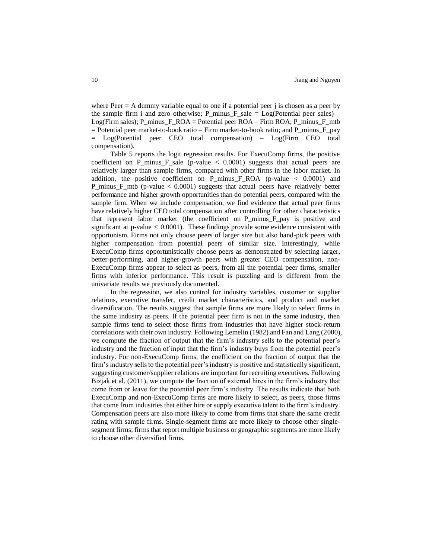where  $Peer = A$  dummy variable equal to one if a potential peer j is chosen as a peer by the sample firm i and zero otherwise; P\_minus\_F\_sale =  $Log(Potential)$  peer sales) – Log(Firm sales); P\_minus\_F\_ROA = Potential peer ROA – Firm ROA; P\_minus\_F\_mtb  $=$  Potential peer market-to-book ratio – Firm market-to-book ratio; and P\_minus\_F\_pay = Log(Potential peer CEO total compensation) – Log(Firm CEO total compensation).

Table 5 reports the logit regression results. For ExecuComp firms, the positive coefficient on P\_minus\_F\_sale (p-value < 0.0001) suggests that actual peers are relatively larger than sample firms, compared with other firms in the labor market. In addition, the positive coefficient on  $P_{\text{minus}}_E$ ROA (p-value < 0.0001) and P\_minus\_F\_mtb (p-value < 0.0001) suggests that actual peers have relatively better performance and higher growth opportunities than do potential peers, compared with the sample firm. When we include compensation, we find evidence that actual peer firms have relatively higher CEO total compensation after controlling for other characteristics that represent labor market (the coefficient on P\_minus\_F\_pay is positive and significant at p-value  $< 0.0001$ ). These findings provide some evidence consistent with opportunism. Firms not only choose peers of larger size but also hand-pick peers with higher compensation from potential peers of similar size. Interestingly, while ExecuComp firms opportunistically choose peers as demonstrated by selecting larger, better-performing, and higher-growth peers with greater CEO compensation, non-ExecuComp firms appear to select as peers, from all the potential peer firms, smaller firms with inferior performance. This result is puzzling and is different from the univariate results we previously documented.

In the regression, we also control for industry variables, customer or supplier relations, executive transfer, credit market characteristics, and product and market diversification. The results suggest that sample firms are more likely to select firms in the same industry as peers. If the potential peer firm is not in the same industry, then sample firms tend to select those firms from industries that have higher stock-return correlations with their own industry. Following Lemelin (1982) and Fan and Lang (2000), we compute the fraction of output that the firm's industry sells to the potential peer's industry and the fraction of input that the firm's industry buys from the potential peer's industry. For non-ExecuComp firms, the coefficient on the fraction of output that the firm's industry sells to the potential peer's industry is positive and statistically significant, suggesting customer/supplier relations are important for recruiting executives. Following Bizjak et al. (2011), we compute the fraction of external hires in the firm's industry that come from or leave for the potential peer firm's industry. The results indicate that both ExecuComp and non-ExecuComp firms are more likely to select, as peers, those firms that come from industries that either hire or supply executive talent to the firm's industry. Compensation peers are also more likely to come from firms that share the same credit rating with sample firms. Single-segment firms are more likely to choose other singlesegment firms; firms that report multiple business or geographic segments are more likely to choose other diversified firms.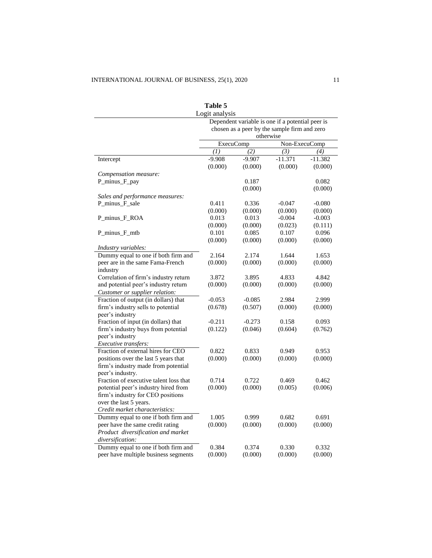|                                              | Logit analysis                                            |                                                  |               |           |  |
|----------------------------------------------|-----------------------------------------------------------|--------------------------------------------------|---------------|-----------|--|
|                                              |                                                           | Dependent variable is one if a potential peer is |               |           |  |
|                                              | chosen as a peer by the sample firm and zero<br>otherwise |                                                  |               |           |  |
|                                              | ExecuComp                                                 |                                                  | Non-ExecuComp |           |  |
|                                              | (I)                                                       | (2)                                              | (3)           | (4)       |  |
| Intercept                                    | $-9.908$                                                  | $-9.907$                                         | $-11.371$     | $-11.382$ |  |
|                                              | (0.000)                                                   | (0.000)                                          | (0.000)       | (0.000)   |  |
| Compensation measure:                        |                                                           |                                                  |               |           |  |
| P_minus_F_pay                                |                                                           | 0.187                                            |               | 0.082     |  |
|                                              |                                                           | (0.000)                                          |               | (0.000)   |  |
| Sales and performance measures:              |                                                           |                                                  |               |           |  |
| P_minus_F_sale                               | 0.411                                                     | 0.336                                            | $-0.047$      | $-0.080$  |  |
|                                              | (0.000)                                                   | (0.000)                                          | (0.000)       | (0.000)   |  |
| P_minus_F_ROA                                | 0.013                                                     | 0.013                                            | $-0.004$      | $-0.003$  |  |
|                                              | (0.000)                                                   | (0.000)                                          | (0.023)       | (0.111)   |  |
| P_minus_F_mtb                                | 0.101                                                     | 0.085                                            | 0.107         | 0.096     |  |
|                                              | (0.000)                                                   | (0.000)                                          | (0.000)       | (0.000)   |  |
| Industry variables:                          |                                                           |                                                  |               |           |  |
| Dummy equal to one if both firm and          | 2.164                                                     | 2.174                                            | 1.644         | 1.653     |  |
| peer are in the same Fama-French<br>industry | (0.000)                                                   | (0.000)                                          | (0.000)       | (0.000)   |  |
| Correlation of firm's industry return        | 3.872                                                     | 3.895                                            | 4.833         | 4.842     |  |
| and potential peer's industry return         | (0.000)                                                   | (0.000)                                          | (0.000)       | (0.000)   |  |
| Customer or supplier relation:               |                                                           |                                                  |               |           |  |
| Fraction of output (in dollars) that         | $-0.053$                                                  | $-0.085$                                         | 2.984         | 2.999     |  |
| firm's industry sells to potential           | (0.678)                                                   | (0.507)                                          | (0.000)       | (0.000)   |  |
| peer's industry                              |                                                           |                                                  |               |           |  |
| Fraction of input (in dollars) that          | $-0.211$                                                  | $-0.273$                                         | 0.158         | 0.093     |  |
| firm's industry buys from potential          | (0.122)                                                   | (0.046)                                          | (0.604)       | (0.762)   |  |
| peer's industry                              |                                                           |                                                  |               |           |  |
| Executive transfers:                         |                                                           |                                                  |               |           |  |
| Fraction of external hires for CEO           | 0.822                                                     | 0.833                                            | 0.949         | 0.953     |  |
| positions over the last 5 years that         | (0.000)                                                   | (0.000)                                          | (0.000)       | (0.000)   |  |
| firm's industry made from potential          |                                                           |                                                  |               |           |  |
| peer's industry.                             |                                                           |                                                  |               |           |  |
| Fraction of executive talent loss that       | 0.714                                                     | 0.722                                            | 0.469         | 0.462     |  |
| potential peer's industry hired from         | (0.000)                                                   | (0.000)                                          | (0.005)       | (0.006)   |  |
| firm's industry for CEO positions            |                                                           |                                                  |               |           |  |
| over the last 5 years.                       |                                                           |                                                  |               |           |  |
| Credit market characteristics:               |                                                           |                                                  |               |           |  |
| Dummy equal to one if both firm and          | 1.005                                                     | 0.999                                            | 0.682         | 0.691     |  |
| peer have the same credit rating             | (0.000)                                                   | (0.000)                                          | (0.000)       | (0.000)   |  |
| Product diversification and market           |                                                           |                                                  |               |           |  |
| diversification:                             |                                                           |                                                  |               |           |  |
| Dummy equal to one if both firm and          | 0.384                                                     | 0.374                                            | 0.330         | 0.332     |  |
| peer have multiple business segments         | (0.000)                                                   | (0.000)                                          | (0.000)       | (0.000)   |  |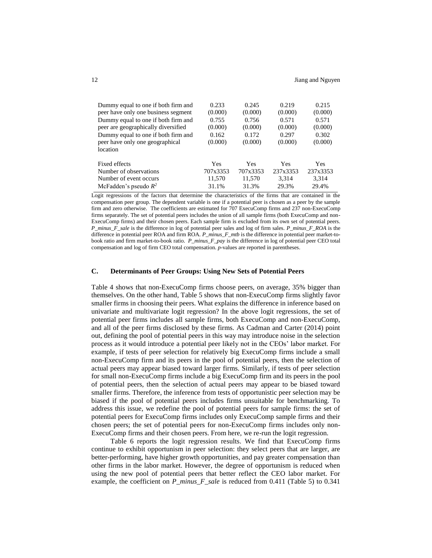| Dummy equal to one if both firm and | 0.233    | 0.245    | 0.219    | 0.215    |
|-------------------------------------|----------|----------|----------|----------|
| peer have only one business segment | (0.000)  | (0.000)  | (0.000)  | (0.000)  |
| Dummy equal to one if both firm and | 0.755    | 0.756    | 0.571    | 0.571    |
| peer are geographically diversified | (0.000)  | (0.000)  | (0.000)  | (0.000)  |
| Dummy equal to one if both firm and | 0.162    | 0.172    | 0.297    | 0.302    |
| peer have only one geographical     | (0.000)  | (0.000)  | (0.000)  | (0.000)  |
| location                            |          |          |          |          |
| Fixed effects                       | Yes      | Yes      | Yes      | Yes      |
| Number of observations              | 707x3353 | 707x3353 | 237x3353 | 237x3353 |
| Number of event occurs              | 11,570   | 11,570   | 3.314    | 3,314    |
| McFadden's pseudo $R^2$             | 31.1%    | 31.3%    | 29.3%    | 29.4%    |

Logit regressions of the factors that determine the characteristics of the firms that are contained in the compensation peer group. The dependent variable is one if a potential peer is chosen as a peer by the sample firm and zero otherwise. The coefficients are estimated for 707 ExecuComp firms and 237 non-ExecuComp firms separately. The set of potential peers includes the union of all sample firms (both ExecuComp and non-ExecuComp firms) and their chosen peers. Each sample firm is excluded from its own set of potential peers. *P\_minus\_F\_sale* is the difference in log of potential peer sales and log of firm sales. *P\_minus\_F\_ROA* is the difference in potential peer ROA and firm ROA. *P\_minus\_F\_mtb* is the difference in potential peer market-tobook ratio and firm market-to-book ratio. *P\_minus\_F\_pay* is the difference in log of potential peer CEO total compensation and log of firm CEO total compensation. *p*-values are reported in parentheses.

## **C. Determinants of Peer Groups: Using New Sets of Potential Peers**

Table 4 shows that non-ExecuComp firms choose peers, on average, 35% bigger than themselves. On the other hand, Table 5 shows that non-ExecuComp firms slightly favor smaller firms in choosing their peers. What explains the difference in inference based on univariate and multivariate logit regression? In the above logit regressions, the set of potential peer firms includes all sample firms, both ExecuComp and non-ExecuComp, and all of the peer firms disclosed by these firms. As Cadman and Carter (2014) point out, defining the pool of potential peers in this way may introduce noise in the selection process as it would introduce a potential peer likely not in the CEOs' labor market. For example, if tests of peer selection for relatively big ExecuComp firms include a small non-ExecuComp firm and its peers in the pool of potential peers, then the selection of actual peers may appear biased toward larger firms. Similarly, if tests of peer selection for small non-ExecuComp firms include a big ExecuComp firm and its peers in the pool of potential peers, then the selection of actual peers may appear to be biased toward smaller firms. Therefore, the inference from tests of opportunistic peer selection may be biased if the pool of potential peers includes firms unsuitable for benchmarking. To address this issue, we redefine the pool of potential peers for sample firms: the set of potential peers for ExecuComp firms includes only ExecuComp sample firms and their chosen peers; the set of potential peers for non-ExecuComp firms includes only non-ExecuComp firms and their chosen peers. From here, we re-run the logit regression.

Table 6 reports the logit regression results. We find that ExecuComp firms continue to exhibit opportunism in peer selection: they select peers that are larger, are better-performing, have higher growth opportunities, and pay greater compensation than other firms in the labor market. However, the degree of opportunism is reduced when using the new pool of potential peers that better reflect the CEO labor market. For example, the coefficient on *P\_minus\_F\_sale* is reduced from 0.411 (Table 5) to 0.341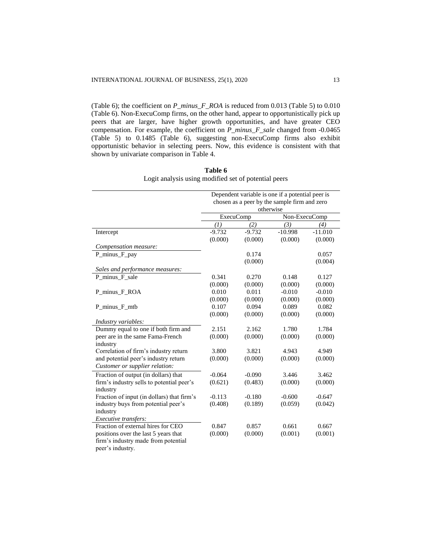(Table 6); the coefficient on *P\_minus\_F\_ROA* is reduced from 0.013 (Table 5) to 0.010 (Table 6). Non-ExecuComp firms, on the other hand, appear to opportunistically pick up peers that are larger, have higher growth opportunities, and have greater CEO compensation. For example, the coefficient on *P\_minus\_F\_sale* changed from -0.0465 (Table 5) to 0.1485 (Table 6), suggesting non-ExecuComp firms also exhibit opportunistic behavior in selecting peers. Now, this evidence is consistent with that shown by univariate comparison in Table 4.

|                                            |                                                           |          | Dependent variable is one if a potential peer is |           |  |
|--------------------------------------------|-----------------------------------------------------------|----------|--------------------------------------------------|-----------|--|
|                                            | chosen as a peer by the sample firm and zero<br>otherwise |          |                                                  |           |  |
|                                            | <b>ExecuComp</b>                                          |          | Non-ExecuComp                                    |           |  |
|                                            | (I)                                                       | (2)      | (3)                                              | (4)       |  |
| Intercept                                  | $-9.732$                                                  | $-9.732$ | $-10.998$                                        | $-11.010$ |  |
|                                            | (0.000)                                                   | (0.000)  | (0.000)                                          | (0.000)   |  |
| Compensation measure:                      |                                                           |          |                                                  |           |  |
| P_minus_F_pay                              |                                                           | 0.174    |                                                  | 0.057     |  |
|                                            |                                                           | (0.000)  |                                                  | (0.004)   |  |
| Sales and performance measures:            |                                                           |          |                                                  |           |  |
| P_minus_F_sale                             | 0.341                                                     | 0.270    | 0.148                                            | 0.127     |  |
|                                            | (0.000)                                                   | (0.000)  | (0.000)                                          | (0.000)   |  |
| P minus F ROA                              | 0.010                                                     | 0.011    | $-0.010$                                         | $-0.010$  |  |
|                                            | (0.000)                                                   | (0.000)  | (0.000)                                          | (0.000)   |  |
| P minus F mtb                              | 0.107                                                     | 0.094    | 0.089                                            | 0.082     |  |
|                                            | (0.000)                                                   | (0.000)  | (0.000)                                          | (0.000)   |  |
| Industry variables:                        |                                                           |          |                                                  |           |  |
| Dummy equal to one if both firm and        | 2.151                                                     | 2.162    | 1.780                                            | 1.784     |  |
| peer are in the same Fama-French           | (0.000)                                                   | (0.000)  | (0.000)                                          | (0.000)   |  |
| industry                                   |                                                           |          |                                                  |           |  |
| Correlation of firm's industry return      | 3.800                                                     | 3.821    | 4.943                                            | 4.949     |  |
| and potential peer's industry return       | (0.000)                                                   | (0.000)  | (0.000)                                          | (0.000)   |  |
| Customer or supplier relation:             |                                                           |          |                                                  |           |  |
| Fraction of output (in dollars) that       | $-0.064$                                                  | $-0.090$ | 3.446                                            | 3.462     |  |
| firm's industry sells to potential peer's  | (0.621)                                                   | (0.483)  | (0.000)                                          | (0.000)   |  |
| industry                                   |                                                           |          |                                                  |           |  |
| Fraction of input (in dollars) that firm's | $-0.113$                                                  | $-0.180$ | $-0.600$                                         | $-0.647$  |  |
| industry buys from potential peer's        | (0.408)                                                   | (0.189)  | (0.059)                                          | (0.042)   |  |
| industry                                   |                                                           |          |                                                  |           |  |
| Executive transfers:                       |                                                           |          |                                                  |           |  |
| Fraction of external hires for CEO         | 0.847                                                     | 0.857    | 0.661                                            | 0.667     |  |
| positions over the last 5 years that       | (0.000)                                                   | (0.000)  | (0.001)                                          | (0.001)   |  |
| firm's industry made from potential        |                                                           |          |                                                  |           |  |
| peer's industry.                           |                                                           |          |                                                  |           |  |

**Table 6** Logit analysis using modified set of potential peers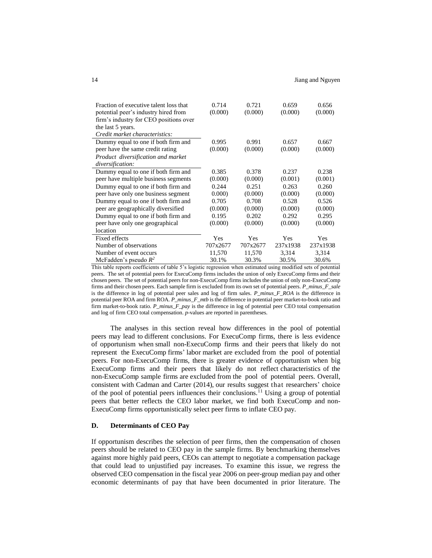| Fraction of executive talent loss that | 0.714    | 0.721    | 0.659      | 0.656    |
|----------------------------------------|----------|----------|------------|----------|
| potential peer's industry hired from   | (0.000)  | (0.000)  | (0.000)    | (0.000)  |
| firm's industry for CEO positions over |          |          |            |          |
| the last 5 years.                      |          |          |            |          |
| Credit market characteristics:         |          |          |            |          |
| Dummy equal to one if both firm and    | 0.995    | 0.991    | 0.657      | 0.667    |
| peer have the same credit rating       | (0.000)  | (0.000)  | (0.000)    | (0.000)  |
| Product diversification and market     |          |          |            |          |
| diversification:                       |          |          |            |          |
| Dummy equal to one if both firm and    | 0.385    | 0.378    | 0.237      | 0.238    |
| peer have multiple business segments   | (0.000)  | (0.000)  | (0.001)    | (0.001)  |
| Dummy equal to one if both firm and    | 0.244    | 0.251    | 0.263      | 0.260    |
| peer have only one business segment    | 0.000    | (0.000)  | (0.000)    | (0.000)  |
| Dummy equal to one if both firm and    | 0.705    | 0.708    | 0.528      | 0.526    |
| peer are geographically diversified    | (0.000)  | (0.000)  | (0.000)    | (0.000)  |
| Dummy equal to one if both firm and    | 0.195    | 0.202    | 0.292      | 0.295    |
| peer have only one geographical        | (0.000)  | (0.000)  | (0.000)    | (0.000)  |
| location                               |          |          |            |          |
| Fixed effects                          | Yes      | Yes      | <b>Yes</b> | Yes      |
| Number of observations                 | 707x2677 | 707x2677 | 237x1938   | 237x1938 |
| Number of event occurs                 | 11,570   | 11,570   | 3,314      | 3,314    |
| McFadden's pseudo $R^2$                | 30.1%    | 30.3%    | 30.5%      | 30.6%    |

This table reports coefficients of table 5's logistic regression when estimated using modified sets of potential peers. The set of potential peers for ExecuComp firms includes the union of only ExecuComp firms and their chosen peers. The set of potential peers for non-ExecuComp firms includes the union of only non-ExecuComp firms and their chosen peers. Each sample firm is excluded from its own set of potential peers. *P\_minus\_F\_sale* is the difference in log of potential peer sales and log of firm sales. *P\_minus\_F\_ROA* is the difference in potential peer ROA and firm ROA. *P\_minus\_F\_mtb* is the difference in potential peer market-to-book ratio and firm market-to-book ratio. *P\_minus\_F\_pay* is the difference in log of potential peer CEO total compensation and log of firm CEO total compensation. *p*-values are reported in parentheses.

The analyses in this section reveal how differences in the pool of potential peers may lead to different conclusions. For ExecuComp firms, there is less evidence of opportunism when small non-ExecuComp firms and their peers that likely do not represent the ExecuComp firms' labor market are excluded from the pool of potential peers. For non-ExecuComp firms, there is greater evidence of opportunism when big ExecuComp firms and their peers that likely do not reflect characteristics of the non-ExecuComp sample firms are excluded from the pool of potential peers. Overall, consistent with Cadman and Carter (2014), our results suggest that researchers' choice of the pool of potential peers influences their conclusions. <sup>11</sup> Using a group of potential peers that better reflects the CEO labor market, we find both ExecuComp and non-ExecuComp firms opportunistically select peer firms to inflate CEO pay.

#### **D. Determinants of CEO Pay**

If opportunism describes the selection of peer firms, then the compensation of chosen peers should be related to CEO pay in the sample firms. By benchmarking themselves against more highly paid peers, CEOs can attempt to negotiate a compensation package that could lead to unjustified pay increases. To examine this issue, we regress the observed CEO compensation in the fiscal year 2006 on peer-group median pay and other economic determinants of pay that have been documented in prior literature. The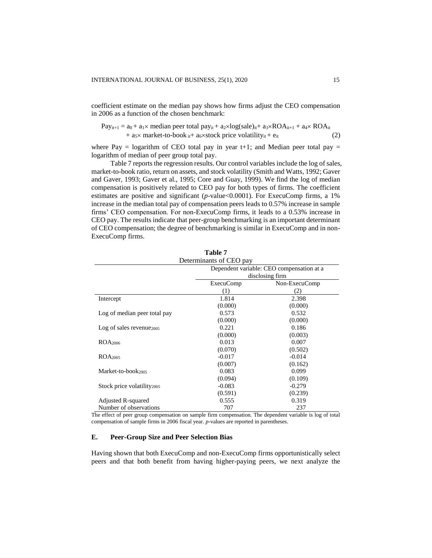coefficient estimate on the median pay shows how firms adjust the CEO compensation in 2006 as a function of the chosen benchmark:

$$
Pay_{it+1} = a_0 + a_1 \times median\ peer\ total\ pay_{it} + a_2 \times log(sale)_{it} + a_3 \times ROA_{it+1} + a_4 \times ROA_{it} + a_5 \times market-to-book_{it} + a_6 \times stock\ price\ volatility_{it} + e_{it}
$$
\n(2)

where Pay = logarithm of CEO total pay in year t+1; and Median peer total pay = logarithm of median of peer group total pay.

Table 7 reports the regression results. Our control variables include the log of sales, market-to-book ratio, return on assets, and stock volatility (Smith and Watts, 1992; Gaver and Gaver, 1993; Gaver et al., 1995; Core and Guay, 1999). We find the log of median compensation is positively related to CEO pay for both types of firms. The coefficient estimates are positive and significant (*p*-value < 0.0001). For ExecuComp firms, a 1% increase in the median total pay of compensation peers leads to 0.57% increase in sample firms' CEO compensation. For non-ExecuComp firms, it leads to a 0.53% increase in CEO pay. The results indicate that peer-group benchmarking is an important determinant of CEO compensation; the degree of benchmarking is similar in ExecuComp and in non-ExecuComp firms.

| Determinants of CEO pay                |                                           |                 |  |  |
|----------------------------------------|-------------------------------------------|-----------------|--|--|
|                                        | Dependent variable: CEO compensation at a |                 |  |  |
|                                        |                                           | disclosing firm |  |  |
|                                        | <b>ExecuComp</b>                          | Non-ExecuComp   |  |  |
|                                        | (1)                                       | (2)             |  |  |
| Intercept                              | 1.814                                     | 2.398           |  |  |
|                                        | (0.000)                                   | (0.000)         |  |  |
| Log of median peer total pay           | 0.573                                     | 0.532           |  |  |
|                                        | (0.000)                                   | (0.000)         |  |  |
| $Log of sales revenue_{2005}$          | 0.221                                     | 0.186           |  |  |
|                                        | (0.000)                                   | (0.003)         |  |  |
| ROA <sub>2006</sub>                    | 0.013                                     | 0.007           |  |  |
|                                        | (0.070)                                   | (0.502)         |  |  |
| ROA <sub>2005</sub>                    | $-0.017$                                  | $-0.014$        |  |  |
|                                        | (0.007)                                   | (0.162)         |  |  |
| Market-to-book2005                     | 0.083                                     | 0.099           |  |  |
|                                        | (0.094)                                   | (0.109)         |  |  |
| Stock price volatility <sub>2005</sub> | $-0.083$                                  | $-0.279$        |  |  |
|                                        | (0.591)                                   | (0.239)         |  |  |
| Adjusted R-squared                     | 0.555                                     | 0.319           |  |  |
| Number of observations                 | 707                                       | 237             |  |  |

| тарис 1 |                  |  |
|---------|------------------|--|
|         | ninants of CEO n |  |

**Table 7**

The effect of peer group compensation on sample firm compensation. The dependent variable is log of total compensation of sample firms in 2006 fiscal year. *p*-values are reported in parentheses.

## **E. Peer-Group Size and Peer Selection Bias**

Having shown that both ExecuComp and non-ExecuComp firms opportunistically select peers and that both benefit from having higher-paying peers, we next analyze the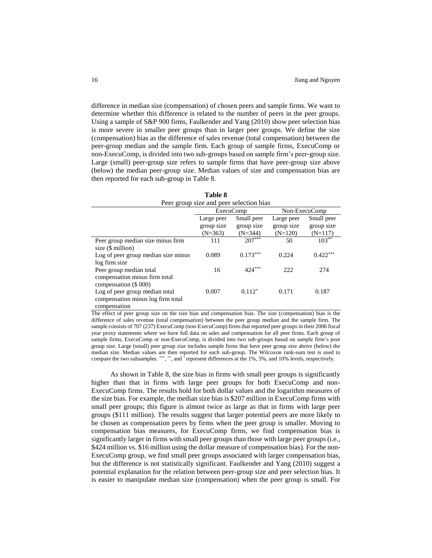difference in median size (compensation) of chosen peers and sample firms. We want to determine whether this difference is related to the number of peers in the peer groups. Using a sample of S&P 900 firms, Faulkender and Yang (2010) show peer selection bias is more severe in smaller peer groups than in larger peer groups. We define the size (compensation) bias as the difference of sales revenue (total compensation) between the peer-group median and the sample firm. Each group of sample firms, ExecuComp or non-ExecuComp, is divided into two sub-groups based on sample firm's peer-group size. Large (small) peer-group size refers to sample firms that have peer-group size above (below) the median peer-group size. Median values of size and compensation bias are then reported for each sub-group in Table 8.

**Table 8**

| 1 avit v                                |                  |            |               |            |  |
|-----------------------------------------|------------------|------------|---------------|------------|--|
| Peer group size and peer selection bias |                  |            |               |            |  |
|                                         | <b>ExecuComp</b> |            | Non-ExecuComp |            |  |
|                                         | Large peer       | Small peer | Large peer    | Small peer |  |
|                                         | group size       | group size | group size    | group size |  |
|                                         | $(N=363)$        | $(N=344)$  | $(N=120)$     | $(N=117)$  |  |
| Peer group median size minus firm       | 111              | $207***$   | 50            | $103***$   |  |
| size (\$ million)                       |                  |            |               |            |  |
| Log of peer group median size minus     | 0.089            | $0.173***$ | 0.224         | $0.422***$ |  |
| log firm size                           |                  |            |               |            |  |
| Peer group median total                 | 16               | 424***     | 222           | 274        |  |
| compensation minus firm total           |                  |            |               |            |  |
| compensation (\$ 000)                   |                  |            |               |            |  |
| Log of peer group median total          | 0.007            | $0.112^*$  | 0.171         | 0.187      |  |
| compensation minus log firm total       |                  |            |               |            |  |
| compensation                            |                  |            |               |            |  |

The effect of peer group size on the size bias and compensation bias. The size (compensation) bias is the difference of sales revenue (total compensation) between the peer group median and the sample firm. The sample consists of 707 (237) ExecuComp (non-ExecuComp) firms that reported peer groups in their 2006 fiscal year proxy statements where we have full data on sales and compensation for all peer firms. Each group of sample firms, ExecuComp or non-ExecuComp, is divided into two sub-groups based on sample firm's peer group size. Large (small) peer group size includes sample firms that have peer group size above (below) the median size. Median values are then reported for each sub-group. The Wilcoxon rank-sum test is used to compare the two subsamples. \*\*\*, \*\*, and \* represent differences at the 1%, 5%, and 10% levels, respectively.

As shown in Table 8, the size bias in firms with small peer groups is significantly higher than that in firms with large peer groups for both ExecuComp and non-ExecuComp firms. The results hold for both dollar values and the logarithm measures of the size bias. For example, the median size bias is \$207 million in ExecuComp firms with small peer groups; this figure is almost twice as large as that in firms with large peer groups (\$111 million). The results suggest that larger potential peers are more likely to be chosen as compensation peers by firms when the peer group is smaller. Moving to compensation bias measures, for ExecuComp firms, we find compensation bias is significantly larger in firms with small peer groups than those with large peer groups (i.e., \$424 million vs. \$16 million using the dollar measure of compensation bias). For the non-ExecuComp group, we find small peer groups associated with larger compensation bias, but the difference is not statistically significant. Faulkender and Yang (2010) suggest a potential explanation for the relation between peer-group size and peer selection bias. It is easier to manipulate median size (compensation) when the peer group is small. For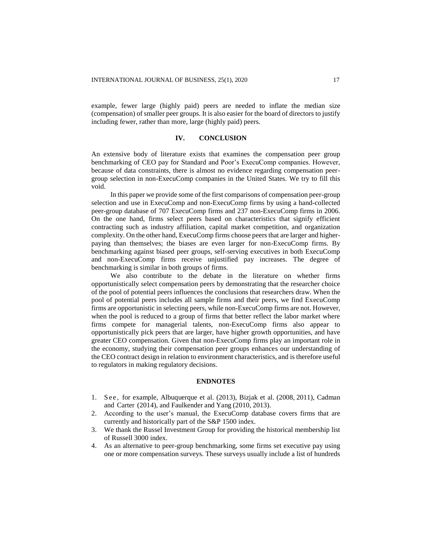example, fewer large (highly paid) peers are needed to inflate the median size (compensation) of smaller peer groups. It is also easier for the board of directors to justify including fewer, rather than more, large (highly paid) peers.

#### **IV. CONCLUSION**

An extensive body of literature exists that examines the compensation peer group benchmarking of CEO pay for Standard and Poor's ExecuComp companies. However, because of data constraints, there is almost no evidence regarding compensation peergroup selection in non-ExecuComp companies in the United States. We try to fill this void.

In this paper we provide some of the first comparisons of compensation peer-group selection and use in ExecuComp and non-ExecuComp firms by using a hand-collected peer-group database of 707 ExecuComp firms and 237 non-ExecuComp firms in 2006. On the one hand, firms select peers based on characteristics that signify efficient contracting such as industry affiliation, capital market competition, and organization complexity. On the other hand, ExecuComp firms choose peers that are larger and higherpaying than themselves; the biases are even larger for non-ExecuComp firms. By benchmarking against biased peer groups, self-serving executives in both ExecuComp and non-ExecuComp firms receive unjustified pay increases. The degree of benchmarking is similar in both groups of firms.

We also contribute to the debate in the literature on whether firms opportunistically select compensation peers by demonstrating that the researcher choice of the pool of potential peers influences the conclusions that researchers draw. When the pool of potential peers includes all sample firms and their peers, we find ExecuComp firms are opportunistic in selecting peers, while non-ExecuComp firms are not. However, when the pool is reduced to a group of firms that better reflect the labor market where firms compete for managerial talents, non-ExecuComp firms also appear to opportunistically pick peers that are larger, have higher growth opportunities, and have greater CEO compensation. Given that non-ExecuComp firms play an important role in the economy, studying their compensation peer groups enhances our understanding of the CEO contract design in relation to environment characteristics, and is therefore useful to regulators in making regulatory decisions.

#### **ENDNOTES**

- 1. See, for example, Albuquerque et al. (2013), Bizjak et al. (2008, 2011), Cadman and Carter (2014), and Faulkender and Yang (2010, 2013).
- 2. According to the user's manual, the ExecuComp database covers firms that are currently and historically part of the S&P 1500 index.
- 3. We thank the Russel Investment Group for providing the historical membership list of Russell 3000 index.
- 4. As an alternative to peer-group benchmarking, some firms set executive pay using one or more compensation surveys. These surveys usually include a list of hundreds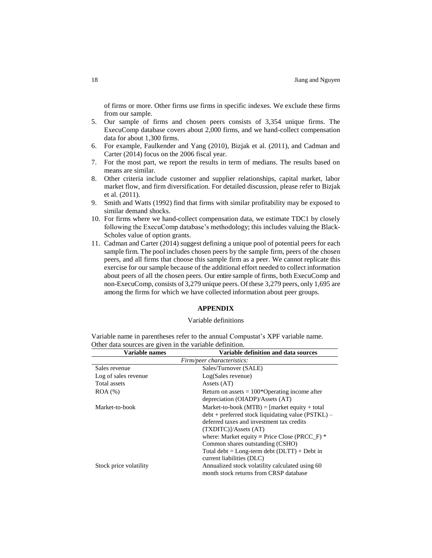of firms or more. Other firms use firms in specific indexes. We exclude these firms from our sample.

- 5. Our sample of firms and chosen peers consists of 3,354 unique firms. The ExecuComp database covers about 2,000 firms, and we hand-collect compensation data for about 1,300 firms.
- 6. For example, Faulkender and Yang (2010), Bizjak et al. (2011), and Cadman and Carter (2014) focus on the 2006 fiscal year.
- 7. For the most part, we report the results in term of medians. The results based on means are similar.
- 8. Other criteria include customer and supplier relationships, capital market, labor market flow, and firm diversification. For detailed discussion, please refer to Bizjak et al. (2011).
- 9. Smith and Watts (1992) find that firms with similar profitability may be exposed to similar demand shocks.
- 10. For firms where we hand-collect compensation data, we estimate TDC1 by closely following the ExecuComp database's methodology; this includes valuing the Black-Scholes value of option grants.
- 11. Cadman and Carter (2014) suggest defining a unique pool of potential peers for each sample firm. The pool includes chosen peers by the sample firm, peers of the chosen peers, and all firms that choose this sample firm as a peer. We cannot replicate this exercise for our sample because of the additional effort needed to collect information about peers of all the chosen peers. Our entire sample of firms, both ExecuComp and non-ExecuComp, consists of 3,279 unique peers. Of these 3,279 peers, only 1,695 are among the firms for which we have collected information about peer groups.

## **APPENDIX**

#### Variable definitions

|                                                          | Variable name in parentheses refer to the annual Compustat's XPF variable name. |  |
|----------------------------------------------------------|---------------------------------------------------------------------------------|--|
| Other data sources are given in the variable definition. |                                                                                 |  |
|                                                          |                                                                                 |  |

| Variable names             | Variable definition and data sources                 |
|----------------------------|------------------------------------------------------|
| Firm/peer characteristics: |                                                      |
| Sales revenue              | Sales/Turnover (SALE)                                |
| Log of sales revenue       | Log(Sales revenue)                                   |
| Total assets               | Assets (AT)                                          |
| $ROA (\%)$                 | Return on assets $= 100*$ Operating income after     |
|                            | depreciation (OIADP)/Assets (AT)                     |
| Market-to-book             | Market-to-book (MTB) = $[market equity + total]$     |
|                            | $debt + preferred stock liquidating value (PSTKL) -$ |
|                            | deferred taxes and investment tax credits            |
|                            | (TXDITC)/Assets (AT)                                 |
|                            | where: Market equity = Price Close (PRCC_F) $*$      |
|                            | Common shares outstanding (CSHO)                     |
|                            | Total debt = $Long-term debt (DLTT) + Det in$        |
|                            | current liabilities (DLC)                            |
| Stock price volatility     | Annualized stock volatility calculated using 60      |
|                            | month stock returns from CRSP database               |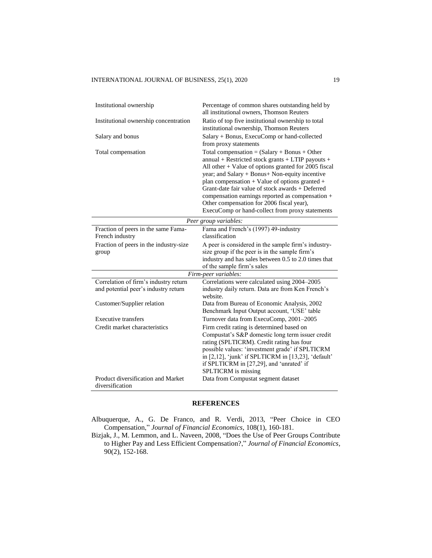| Institutional ownership                                                       | Percentage of common shares outstanding held by<br>all institutional owners, Thomson Reuters                                                                                                                                                                                                                                                                                                                                                                                   |  |
|-------------------------------------------------------------------------------|--------------------------------------------------------------------------------------------------------------------------------------------------------------------------------------------------------------------------------------------------------------------------------------------------------------------------------------------------------------------------------------------------------------------------------------------------------------------------------|--|
| Institutional ownership concentration                                         | Ratio of top five institutional ownership to total<br>institutional ownership, Thomson Reuters                                                                                                                                                                                                                                                                                                                                                                                 |  |
| Salary and bonus                                                              | Salary + Bonus, ExecuComp or hand-collected<br>from proxy statements                                                                                                                                                                                                                                                                                                                                                                                                           |  |
| Total compensation                                                            | Total compensation = $(Salary + Bonus + Other)$<br>annual + Restricted stock grants + LTIP payouts +<br>All other $+$ Value of options granted for 2005 fiscal<br>year; and Salary + Bonus+ Non-equity incentive<br>plan compensation $+$ Value of options granted $+$<br>Grant-date fair value of stock awards + Deferred<br>compensation earnings reported as compensation +<br>Other compensation for 2006 fiscal year),<br>ExecuComp or hand-collect from proxy statements |  |
| Peer group variables:                                                         |                                                                                                                                                                                                                                                                                                                                                                                                                                                                                |  |
| Fraction of peers in the same Fama-<br>French industry                        | Fama and French's (1997) 49-industry<br>classification                                                                                                                                                                                                                                                                                                                                                                                                                         |  |
| Fraction of peers in the industry-size<br>group                               | A peer is considered in the sample firm's industry-<br>size group if the peer is in the sample firm's<br>industry and has sales between 0.5 to 2.0 times that<br>of the sample firm's sales                                                                                                                                                                                                                                                                                    |  |
| Firm-peer variables:                                                          |                                                                                                                                                                                                                                                                                                                                                                                                                                                                                |  |
| Correlation of firm's industry return<br>and potential peer's industry return | Correlations were calculated using 2004-2005<br>industry daily return. Data are from Ken French's<br>website.                                                                                                                                                                                                                                                                                                                                                                  |  |
| Customer/Supplier relation                                                    | Data from Bureau of Economic Analysis, 2002<br>Benchmark Input Output account, 'USE' table                                                                                                                                                                                                                                                                                                                                                                                     |  |
| <b>Executive transfers</b>                                                    | Turnover data from ExecuComp, 2001-2005                                                                                                                                                                                                                                                                                                                                                                                                                                        |  |
| Credit market characteristics                                                 | Firm credit rating is determined based on<br>Compustat's S&P domestic long term issuer credit<br>rating (SPLTICRM). Credit rating has four<br>possible values: 'investment grade' if SPLTICRM<br>in [2,12], 'junk' if SPLTICRM in [13,23], 'default'<br>if SPLTICRM in [27,29], and 'unrated' if<br>SPLTICRM is missing                                                                                                                                                        |  |
| Product diversification and Market<br>diversification                         | Data from Compustat segment dataset                                                                                                                                                                                                                                                                                                                                                                                                                                            |  |

# **REFERENCES**

Albuquerque, A., G. De Franco, and R. Verdi, 2013, "Peer Choice in CEO Compensation," *Journal of Financial Economics,* 108(1), 160-181.

Bizjak, J., M. Lemmon, and L. Naveen, 2008, "Does the Use of Peer Groups Contribute to Higher Pay and Less Efficient Compensation?," *Journal of Financial Economics,* 90(2), 152-168.